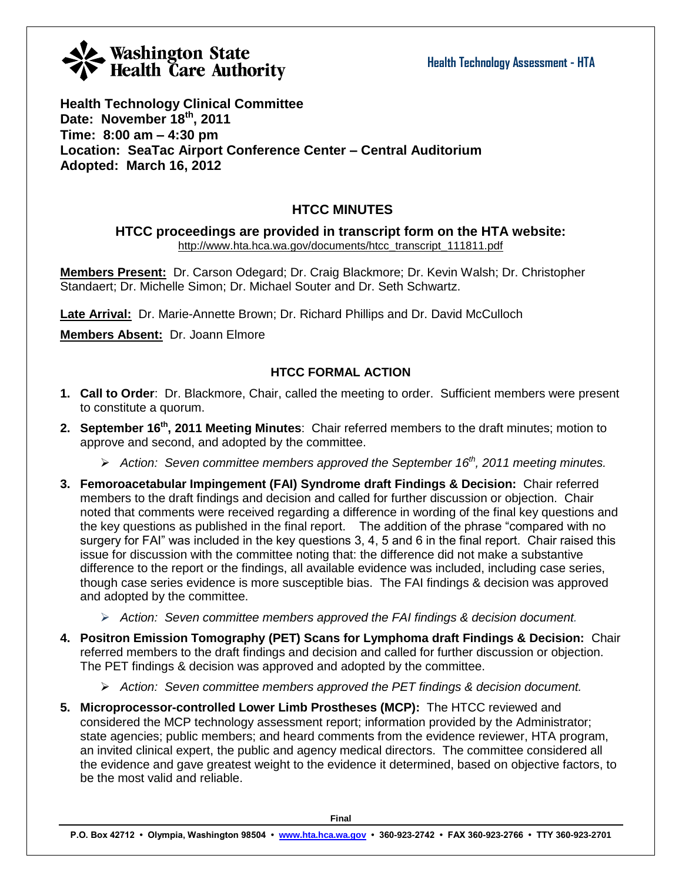**Health Technology Clinical Committee Date: November 18th, 2011 Time: 8:00 am – 4:30 pm Location: SeaTac Airport Conference Center – Central Auditorium Adopted: March 16, 2012**

### **HTCC MINUTES**

**HTCC proceedings are provided in transcript form on the HTA website:** [http://www.hta.hca.wa.gov/documents/htcc\\_transcript\\_111811.pdf](http://www.hta.hca.wa.gov/documents/htcc_transcript_111811.pdf)

**Members Present:** Dr. Carson Odegard; Dr. Craig Blackmore; Dr. Kevin Walsh; Dr. Christopher Standaert; Dr. Michelle Simon; Dr. Michael Souter and Dr. Seth Schwartz.

**Late Arrival:** Dr. Marie-Annette Brown; Dr. Richard Phillips and Dr. David McCulloch

**Members Absent:** Dr. Joann Elmore

### **HTCC FORMAL ACTION**

- **1. Call to Order**: Dr. Blackmore, Chair, called the meeting to order. Sufficient members were present to constitute a quorum.
- **2. September 16th, 2011 Meeting Minutes**: Chair referred members to the draft minutes; motion to approve and second, and adopted by the committee.
	- *Action: Seven committee members approved the September 16th , 2011 meeting minutes.*
- **3. Femoroacetabular Impingement (FAI) Syndrome draft Findings & Decision:** Chair referred members to the draft findings and decision and called for further discussion or objection. Chair noted that comments were received regarding a difference in wording of the final key questions and the key questions as published in the final report. The addition of the phrase "compared with no surgery for FAI" was included in the key questions 3, 4, 5 and 6 in the final report. Chair raised this issue for discussion with the committee noting that: the difference did not make a substantive difference to the report or the findings, all available evidence was included, including case series, though case series evidence is more susceptible bias. The FAI findings & decision was approved and adopted by the committee.
	- *Action: Seven committee members approved the FAI findings & decision document.*
- **4. Positron Emission Tomography (PET) Scans for Lymphoma draft Findings & Decision:** Chair referred members to the draft findings and decision and called for further discussion or objection. The PET findings & decision was approved and adopted by the committee.
	- *Action: Seven committee members approved the PET findings & decision document.*
- **5. Microprocessor-controlled Lower Limb Prostheses (MCP):** The HTCC reviewed and considered the MCP technology assessment report; information provided by the Administrator; state agencies; public members; and heard comments from the evidence reviewer, HTA program, an invited clinical expert, the public and agency medical directors. The committee considered all the evidence and gave greatest weight to the evidence it determined, based on objective factors, to be the most valid and reliable.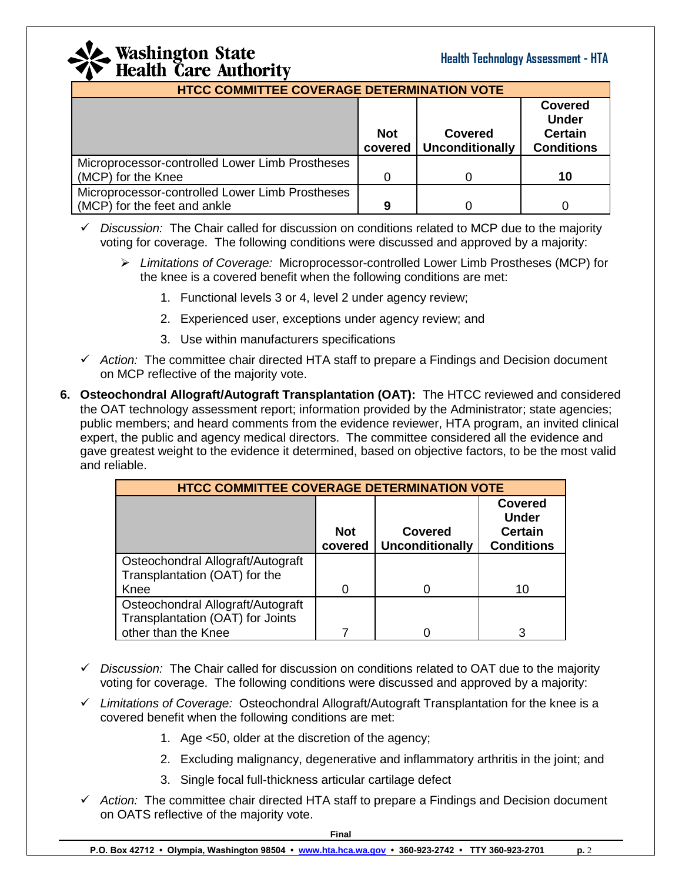

| <b>HTCC COMMITTEE COVERAGE DETERMINATION VOTE</b>                                                                                          |   |  |    |  |  |
|--------------------------------------------------------------------------------------------------------------------------------------------|---|--|----|--|--|
| <b>Covered</b><br><b>Under</b><br><b>Certain</b><br><b>Not</b><br><b>Covered</b><br><b>Unconditionally</b><br><b>Conditions</b><br>covered |   |  |    |  |  |
| Microprocessor-controlled Lower Limb Prostheses                                                                                            |   |  |    |  |  |
| (MCP) for the Knee                                                                                                                         |   |  | 10 |  |  |
| Microprocessor-controlled Lower Limb Prostheses                                                                                            |   |  |    |  |  |
| (MCP) for the feet and ankle                                                                                                               | 9 |  |    |  |  |

- *Discussion:* The Chair called for discussion on conditions related to MCP due to the majority voting for coverage. The following conditions were discussed and approved by a majority:
	- *Limitations of Coverage:* Microprocessor-controlled Lower Limb Prostheses (MCP) for the knee is a covered benefit when the following conditions are met:
		- 1. Functional levels 3 or 4, level 2 under agency review;
		- 2. Experienced user, exceptions under agency review; and
		- 3. Use within manufacturers specifications
- *Action:* The committee chair directed HTA staff to prepare a Findings and Decision document on MCP reflective of the majority vote.
- **6. Osteochondral Allograft/Autograft Transplantation (OAT):** The HTCC reviewed and considered the OAT technology assessment report; information provided by the Administrator; state agencies; public members; and heard comments from the evidence reviewer, HTA program, an invited clinical expert, the public and agency medical directors. The committee considered all the evidence and gave greatest weight to the evidence it determined, based on objective factors, to be the most valid and reliable.

| <b>HTCC COMMITTEE COVERAGE DETERMINATION VOTE</b>                     |                       |                                          |                                                                       |  |  |
|-----------------------------------------------------------------------|-----------------------|------------------------------------------|-----------------------------------------------------------------------|--|--|
|                                                                       | <b>Not</b><br>covered | <b>Covered</b><br><b>Unconditionally</b> | <b>Covered</b><br><b>Under</b><br><b>Certain</b><br><b>Conditions</b> |  |  |
| Osteochondral Allograft/Autograft<br>Transplantation (OAT) for the    |                       |                                          |                                                                       |  |  |
| Knee                                                                  |                       |                                          | 10                                                                    |  |  |
| Osteochondral Allograft/Autograft<br>Transplantation (OAT) for Joints |                       |                                          |                                                                       |  |  |
| other than the Knee                                                   |                       |                                          | 3                                                                     |  |  |

- *Discussion:* The Chair called for discussion on conditions related to OAT due to the majority voting for coverage. The following conditions were discussed and approved by a majority:
- *Limitations of Coverage:* Osteochondral Allograft/Autograft Transplantation for the knee is a covered benefit when the following conditions are met:
	- 1. Age <50, older at the discretion of the agency;
	- 2. Excluding malignancy, degenerative and inflammatory arthritis in the joint; and
	- 3. Single focal full-thickness articular cartilage defect
- *Action:* The committee chair directed HTA staff to prepare a Findings and Decision document on OATS reflective of the majority vote.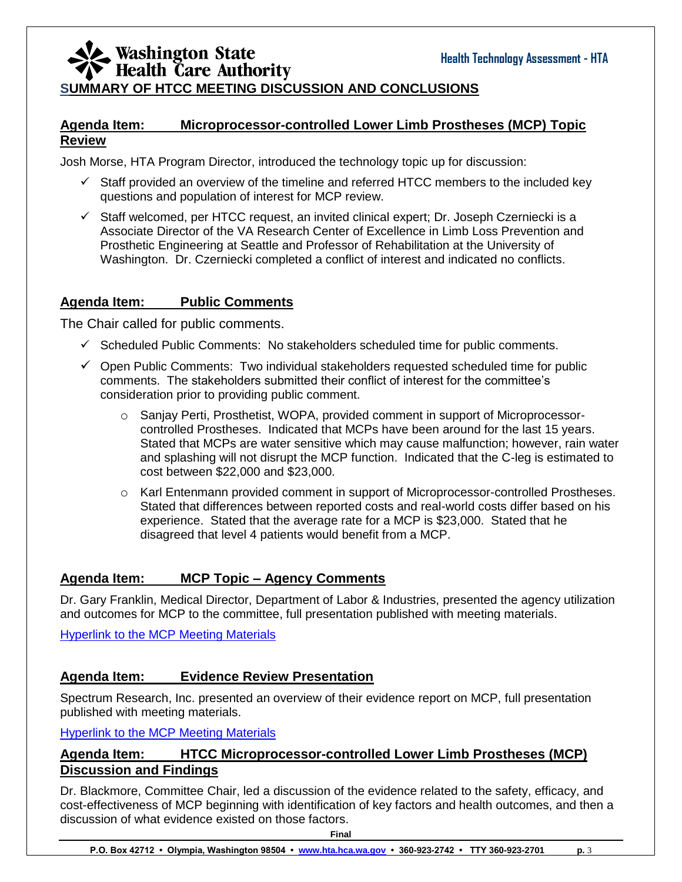### Washington State<br>Health Care Authority **SUMMARY OF HTCC MEETING DISCUSSION AND CONCLUSIONS**

### **Agenda Item: Microprocessor-controlled Lower Limb Prostheses (MCP) Topic Review**

Josh Morse, HTA Program Director, introduced the technology topic up for discussion:

- $\checkmark$  Staff provided an overview of the timeline and referred HTCC members to the included key questions and population of interest for MCP review.
- $\checkmark$  Staff welcomed, per HTCC request, an invited clinical expert; Dr. Joseph Czerniecki is a Associate Director of the VA Research Center of Excellence in Limb Loss Prevention and Prosthetic Engineering at Seattle and Professor of Rehabilitation at the University of Washington. Dr. Czerniecki completed a conflict of interest and indicated no conflicts.

### **Agenda Item: Public Comments**

The Chair called for public comments.

- $\checkmark$  Scheduled Public Comments: No stakeholders scheduled time for public comments.
- $\checkmark$  Open Public Comments: Two individual stakeholders requested scheduled time for public comments. The stakeholders submitted their conflict of interest for the committee's consideration prior to providing public comment.
	- o Sanjay Perti, Prosthetist, WOPA, provided comment in support of Microprocessorcontrolled Prostheses. Indicated that MCPs have been around for the last 15 years. Stated that MCPs are water sensitive which may cause malfunction; however, rain water and splashing will not disrupt the MCP function. Indicated that the C-leg is estimated to cost between \$22,000 and \$23,000.
	- o Karl Entenmann provided comment in support of Microprocessor-controlled Prostheses. Stated that differences between reported costs and real-world costs differ based on his experience. Stated that the average rate for a MCP is \$23,000. Stated that he disagreed that level 4 patients would benefit from a MCP.

### **Agenda Item: MCP Topic – Agency Comments**

Dr. Gary Franklin, Medical Director, Department of Labor & Industries, presented the agency utilization and outcomes for MCP to the committee, full presentation published with meeting materials.

[Hyperlink to the MCP Meeting Materials](http://www.hta.hca.wa.gov/documents/meeting_materials_prosthetics.pdf)

### **Agenda Item: Evidence Review Presentation**

Spectrum Research, Inc. presented an overview of their evidence report on MCP, full presentation published with meeting materials.

[Hyperlink to the MCP Meeting Materials](http://www.hta.hca.wa.gov/documents/meeting_materials_prosthetics.pdf)

### **Agenda Item: HTCC Microprocessor-controlled Lower Limb Prostheses (MCP) Discussion and Findings**

Dr. Blackmore, Committee Chair, led a discussion of the evidence related to the safety, efficacy, and cost-effectiveness of MCP beginning with identification of key factors and health outcomes, and then a discussion of what evidence existed on those factors.

**Final**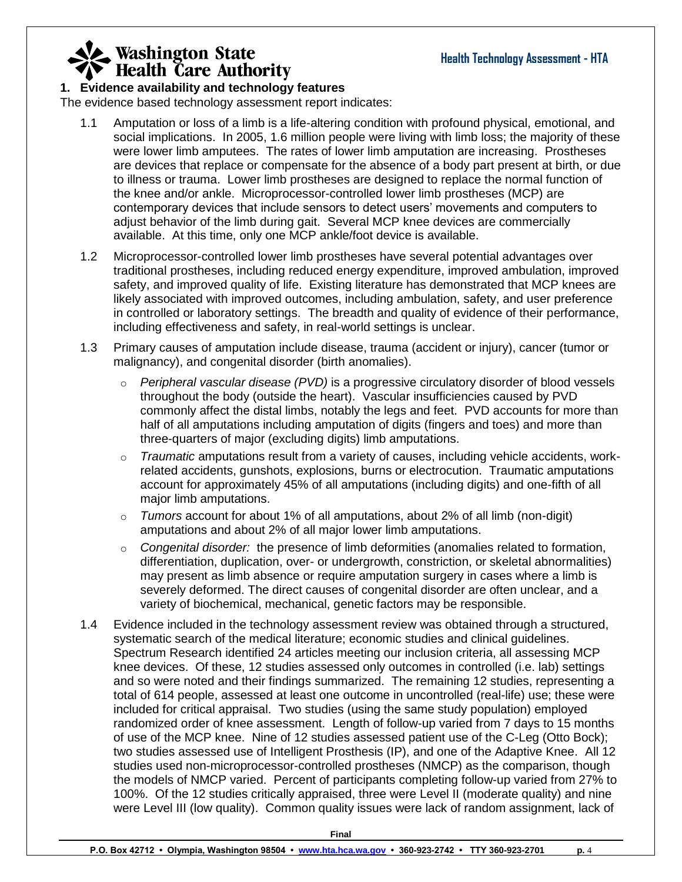### **1. Evidence availability and technology features**

The evidence based technology assessment report indicates:

- 1.1 Amputation or loss of a limb is a life-altering condition with profound physical, emotional, and social implications. In 2005, 1.6 million people were living with limb loss; the majority of these were lower limb amputees. The rates of lower limb amputation are increasing. Prostheses are devices that replace or compensate for the absence of a body part present at birth, or due to illness or trauma. Lower limb prostheses are designed to replace the normal function of the knee and/or ankle. Microprocessor-controlled lower limb prostheses (MCP) are contemporary devices that include sensors to detect users' movements and computers to adjust behavior of the limb during gait. Several MCP knee devices are commercially available. At this time, only one MCP ankle/foot device is available.
- 1.2 Microprocessor-controlled lower limb prostheses have several potential advantages over traditional prostheses, including reduced energy expenditure, improved ambulation, improved safety, and improved quality of life. Existing literature has demonstrated that MCP knees are likely associated with improved outcomes, including ambulation, safety, and user preference in controlled or laboratory settings. The breadth and quality of evidence of their performance, including effectiveness and safety, in real-world settings is unclear.
- 1.3 Primary causes of amputation include disease, trauma (accident or injury), cancer (tumor or malignancy), and congenital disorder (birth anomalies).
	- o *Peripheral vascular disease (PVD)* is a progressive circulatory disorder of blood vessels throughout the body (outside the heart). Vascular insufficiencies caused by PVD commonly affect the distal limbs, notably the legs and feet. PVD accounts for more than half of all amputations including amputation of digits (fingers and toes) and more than three-quarters of major (excluding digits) limb amputations.
	- o *Traumatic* amputations result from a variety of causes, including vehicle accidents, workrelated accidents, gunshots, explosions, burns or electrocution. Traumatic amputations account for approximately 45% of all amputations (including digits) and one-fifth of all major limb amputations.
	- o *Tumors* account for about 1% of all amputations, about 2% of all limb (non-digit) amputations and about 2% of all major lower limb amputations.
	- o *Congenital disorder:* the presence of limb deformities (anomalies related to formation, differentiation, duplication, over- or undergrowth, constriction, or skeletal abnormalities) may present as limb absence or require amputation surgery in cases where a limb is severely deformed. The direct causes of congenital disorder are often unclear, and a variety of biochemical, mechanical, genetic factors may be responsible.
- 1.4 Evidence included in the technology assessment review was obtained through a structured, systematic search of the medical literature; economic studies and clinical guidelines. Spectrum Research identified 24 articles meeting our inclusion criteria, all assessing MCP knee devices. Of these, 12 studies assessed only outcomes in controlled (i.e. lab) settings and so were noted and their findings summarized. The remaining 12 studies, representing a total of 614 people, assessed at least one outcome in uncontrolled (real-life) use; these were included for critical appraisal. Two studies (using the same study population) employed randomized order of knee assessment. Length of follow-up varied from 7 days to 15 months of use of the MCP knee. Nine of 12 studies assessed patient use of the C-Leg (Otto Bock); two studies assessed use of Intelligent Prosthesis (IP), and one of the Adaptive Knee. All 12 studies used non-microprocessor-controlled prostheses (NMCP) as the comparison, though the models of NMCP varied. Percent of participants completing follow-up varied from 27% to 100%. Of the 12 studies critically appraised, three were Level II (moderate quality) and nine were Level III (low quality). Common quality issues were lack of random assignment, lack of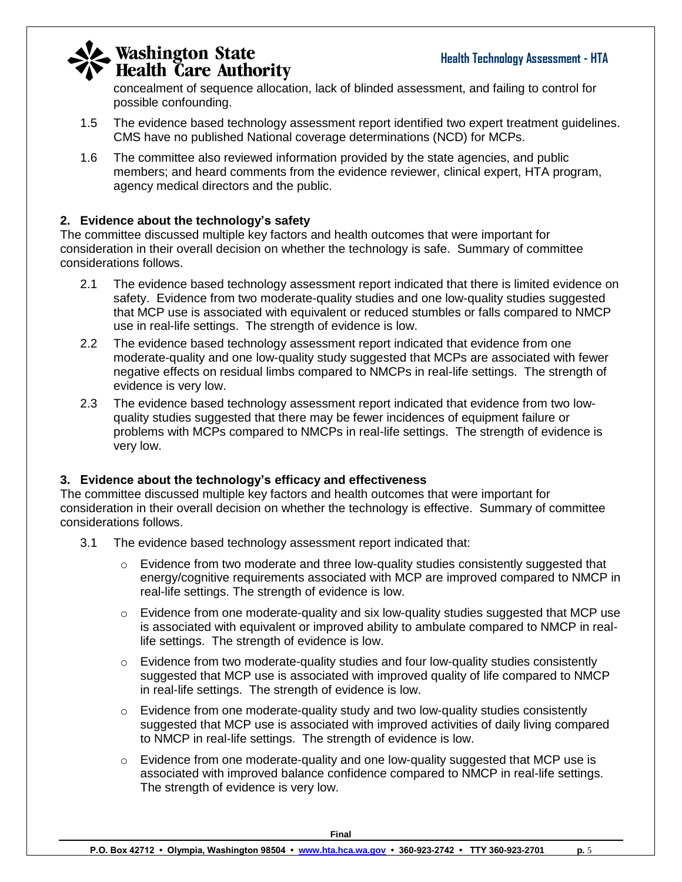concealment of sequence allocation, lack of blinded assessment, and failing to control for possible confounding.

- 1.5 The evidence based technology assessment report identified two expert treatment guidelines. CMS have no published National coverage determinations (NCD) for MCPs.
- 1.6 The committee also reviewed information provided by the state agencies, and public members; and heard comments from the evidence reviewer, clinical expert, HTA program, agency medical directors and the public.

### **2. Evidence about the technology's safety**

The committee discussed multiple key factors and health outcomes that were important for consideration in their overall decision on whether the technology is safe. Summary of committee considerations follows.

- 2.1 The evidence based technology assessment report indicated that there is limited evidence on safety. Evidence from two moderate-quality studies and one low-quality studies suggested that MCP use is associated with equivalent or reduced stumbles or falls compared to NMCP use in real-life settings. The strength of evidence is low.
- 2.2 The evidence based technology assessment report indicated that evidence from one moderate-quality and one low-quality study suggested that MCPs are associated with fewer negative effects on residual limbs compared to NMCPs in real-life settings. The strength of evidence is very low.
- 2.3 The evidence based technology assessment report indicated that evidence from two lowquality studies suggested that there may be fewer incidences of equipment failure or problems with MCPs compared to NMCPs in real-life settings. The strength of evidence is very low.

### **3. Evidence about the technology's efficacy and effectiveness**

The committee discussed multiple key factors and health outcomes that were important for consideration in their overall decision on whether the technology is effective. Summary of committee considerations follows.

- 3.1 The evidence based technology assessment report indicated that:
	- $\circ$  Evidence from two moderate and three low-quality studies consistently suggested that energy/cognitive requirements associated with MCP are improved compared to NMCP in real-life settings. The strength of evidence is low.
	- o Evidence from one moderate-quality and six low-quality studies suggested that MCP use is associated with equivalent or improved ability to ambulate compared to NMCP in reallife settings. The strength of evidence is low.
	- o Evidence from two moderate-quality studies and four low-quality studies consistently suggested that MCP use is associated with improved quality of life compared to NMCP in real-life settings. The strength of evidence is low.
	- $\circ$  Evidence from one moderate-quality study and two low-quality studies consistently suggested that MCP use is associated with improved activities of daily living compared to NMCP in real-life settings. The strength of evidence is low.
	- o Evidence from one moderate-quality and one low-quality suggested that MCP use is associated with improved balance confidence compared to NMCP in real-life settings. The strength of evidence is very low.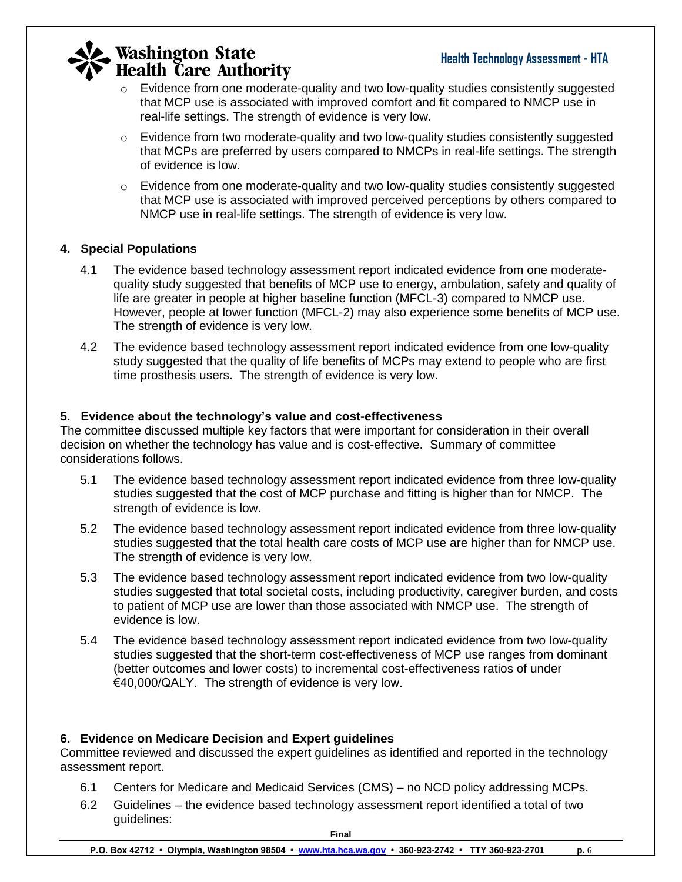- o Evidence from one moderate-quality and two low-quality studies consistently suggested that MCP use is associated with improved comfort and fit compared to NMCP use in real-life settings. The strength of evidence is very low.
- $\circ$  Evidence from two moderate-quality and two low-quality studies consistently suggested that MCPs are preferred by users compared to NMCPs in real-life settings. The strength of evidence is low.
- $\circ$  Evidence from one moderate-quality and two low-quality studies consistently suggested that MCP use is associated with improved perceived perceptions by others compared to NMCP use in real-life settings. The strength of evidence is very low.

### **4. Special Populations**

- 4.1 The evidence based technology assessment report indicated evidence from one moderatequality study suggested that benefits of MCP use to energy, ambulation, safety and quality of life are greater in people at higher baseline function (MFCL-3) compared to NMCP use. However, people at lower function (MFCL-2) may also experience some benefits of MCP use. The strength of evidence is very low.
- 4.2 The evidence based technology assessment report indicated evidence from one low-quality study suggested that the quality of life benefits of MCPs may extend to people who are first time prosthesis users. The strength of evidence is very low.

### **5. Evidence about the technology's value and cost-effectiveness**

The committee discussed multiple key factors that were important for consideration in their overall decision on whether the technology has value and is cost-effective. Summary of committee considerations follows.

- 5.1 The evidence based technology assessment report indicated evidence from three low-quality studies suggested that the cost of MCP purchase and fitting is higher than for NMCP. The strength of evidence is low.
- 5.2 The evidence based technology assessment report indicated evidence from three low-quality studies suggested that the total health care costs of MCP use are higher than for NMCP use. The strength of evidence is very low.
- 5.3 The evidence based technology assessment report indicated evidence from two low-quality studies suggested that total societal costs, including productivity, caregiver burden, and costs to patient of MCP use are lower than those associated with NMCP use. The strength of evidence is low.
- 5.4 The evidence based technology assessment report indicated evidence from two low-quality studies suggested that the short-term cost-effectiveness of MCP use ranges from dominant (better outcomes and lower costs) to incremental cost-effectiveness ratios of under €40,000/QALY. The strength of evidence is very low.

### **6. Evidence on Medicare Decision and Expert guidelines**

Committee reviewed and discussed the expert guidelines as identified and reported in the technology assessment report.

- 6.1 Centers for Medicare and Medicaid Services (CMS) no NCD policy addressing MCPs.
- 6.2 Guidelines the evidence based technology assessment report identified a total of two guidelines: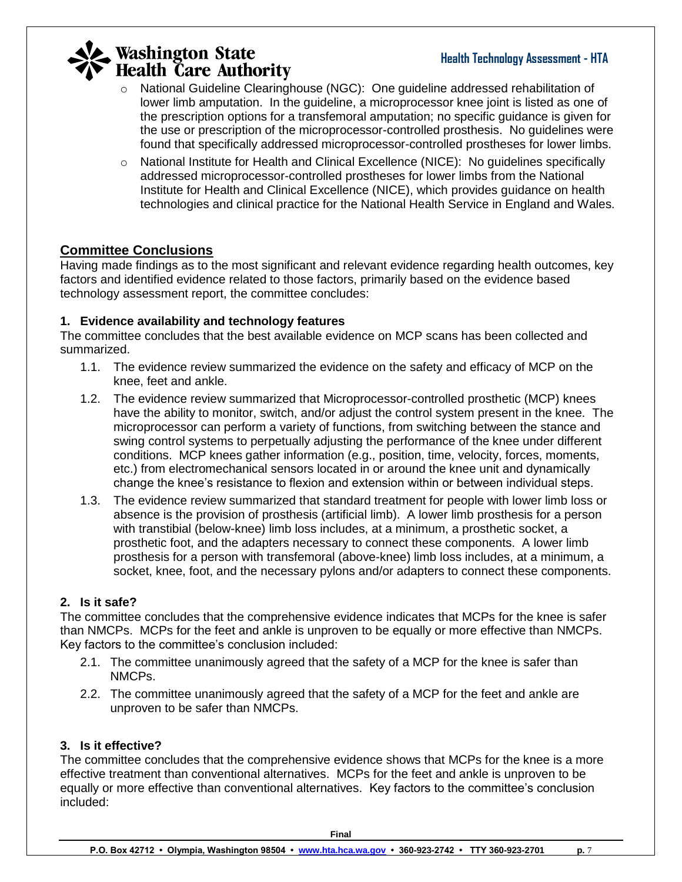### **Health Technology Assessment - HTA**

# **Washington State**<br>Health Care Authority

- o National Guideline Clearinghouse (NGC): One guideline addressed rehabilitation of lower limb amputation. In the guideline, a microprocessor knee joint is listed as one of the prescription options for a transfemoral amputation; no specific guidance is given for the use or prescription of the microprocessor-controlled prosthesis. No guidelines were found that specifically addressed microprocessor-controlled prostheses for lower limbs.
- $\circ$  National Institute for Health and Clinical Excellence (NICE): No quidelines specifically addressed microprocessor-controlled prostheses for lower limbs from the National Institute for Health and Clinical Excellence (NICE), which provides guidance on health technologies and clinical practice for the National Health Service in England and Wales.

### **Committee Conclusions**

Having made findings as to the most significant and relevant evidence regarding health outcomes, key factors and identified evidence related to those factors, primarily based on the evidence based technology assessment report, the committee concludes:

### **1. Evidence availability and technology features**

The committee concludes that the best available evidence on MCP scans has been collected and summarized.

- 1.1. The evidence review summarized the evidence on the safety and efficacy of MCP on the knee, feet and ankle.
- 1.2. The evidence review summarized that Microprocessor-controlled prosthetic (MCP) knees have the ability to monitor, switch, and/or adjust the control system present in the knee. The microprocessor can perform a variety of functions, from switching between the stance and swing control systems to perpetually adjusting the performance of the knee under different conditions. MCP knees gather information (e.g., position, time, velocity, forces, moments, etc.) from electromechanical sensors located in or around the knee unit and dynamically change the knee's resistance to flexion and extension within or between individual steps.
- 1.3. The evidence review summarized that standard treatment for people with lower limb loss or absence is the provision of prosthesis (artificial limb). A lower limb prosthesis for a person with transtibial (below-knee) limb loss includes, at a minimum, a prosthetic socket, a prosthetic foot, and the adapters necessary to connect these components. A lower limb prosthesis for a person with transfemoral (above-knee) limb loss includes, at a minimum, a socket, knee, foot, and the necessary pylons and/or adapters to connect these components.

### **2. Is it safe?**

The committee concludes that the comprehensive evidence indicates that MCPs for the knee is safer than NMCPs. MCPs for the feet and ankle is unproven to be equally or more effective than NMCPs. Key factors to the committee's conclusion included:

- 2.1. The committee unanimously agreed that the safety of a MCP for the knee is safer than NMCPs.
- 2.2. The committee unanimously agreed that the safety of a MCP for the feet and ankle are unproven to be safer than NMCPs.

#### **3. Is it effective?**

The committee concludes that the comprehensive evidence shows that MCPs for the knee is a more effective treatment than conventional alternatives. MCPs for the feet and ankle is unproven to be equally or more effective than conventional alternatives. Key factors to the committee's conclusion included: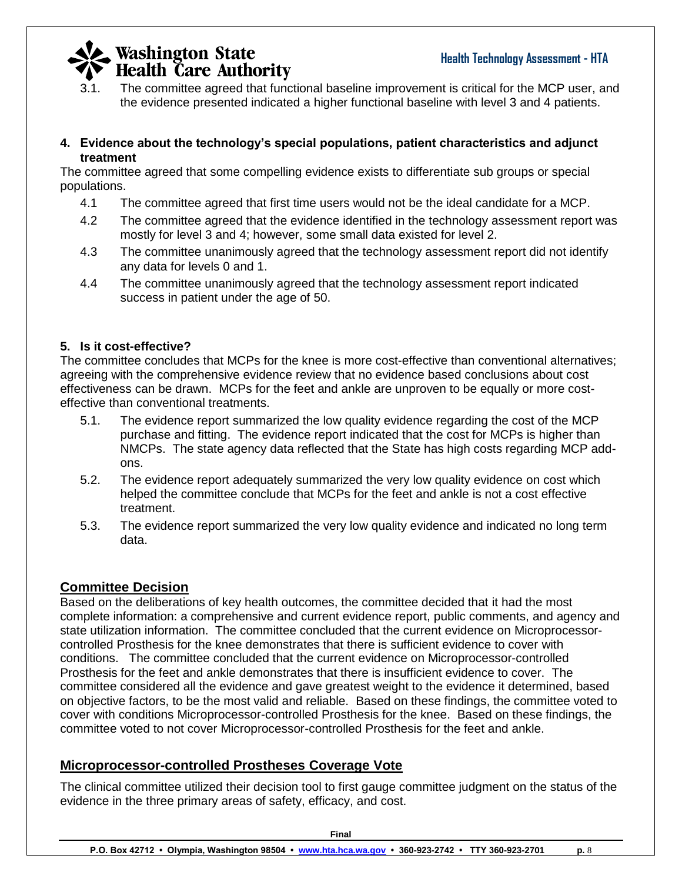

3.1. The committee agreed that functional baseline improvement is critical for the MCP user, and the evidence presented indicated a higher functional baseline with level 3 and 4 patients.

#### **4. Evidence about the technology's special populations, patient characteristics and adjunct treatment**

The committee agreed that some compelling evidence exists to differentiate sub groups or special populations.

- 4.1 The committee agreed that first time users would not be the ideal candidate for a MCP.
- 4.2 The committee agreed that the evidence identified in the technology assessment report was mostly for level 3 and 4; however, some small data existed for level 2.
- 4.3 The committee unanimously agreed that the technology assessment report did not identify any data for levels 0 and 1.
- 4.4 The committee unanimously agreed that the technology assessment report indicated success in patient under the age of 50.

### **5. Is it cost-effective?**

The committee concludes that MCPs for the knee is more cost-effective than conventional alternatives; agreeing with the comprehensive evidence review that no evidence based conclusions about cost effectiveness can be drawn. MCPs for the feet and ankle are unproven to be equally or more costeffective than conventional treatments.

- 5.1. The evidence report summarized the low quality evidence regarding the cost of the MCP purchase and fitting. The evidence report indicated that the cost for MCPs is higher than NMCPs. The state agency data reflected that the State has high costs regarding MCP addons.
- 5.2. The evidence report adequately summarized the very low quality evidence on cost which helped the committee conclude that MCPs for the feet and ankle is not a cost effective treatment.
- 5.3. The evidence report summarized the very low quality evidence and indicated no long term data.

### **Committee Decision**

Based on the deliberations of key health outcomes, the committee decided that it had the most complete information: a comprehensive and current evidence report, public comments, and agency and state utilization information. The committee concluded that the current evidence on Microprocessorcontrolled Prosthesis for the knee demonstrates that there is sufficient evidence to cover with conditions. The committee concluded that the current evidence on Microprocessor-controlled Prosthesis for the feet and ankle demonstrates that there is insufficient evidence to cover. The committee considered all the evidence and gave greatest weight to the evidence it determined, based on objective factors, to be the most valid and reliable. Based on these findings, the committee voted to cover with conditions Microprocessor-controlled Prosthesis for the knee. Based on these findings, the committee voted to not cover Microprocessor-controlled Prosthesis for the feet and ankle.

### **Microprocessor-controlled Prostheses Coverage Vote**

The clinical committee utilized their decision tool to first gauge committee judgment on the status of the evidence in the three primary areas of safety, efficacy, and cost.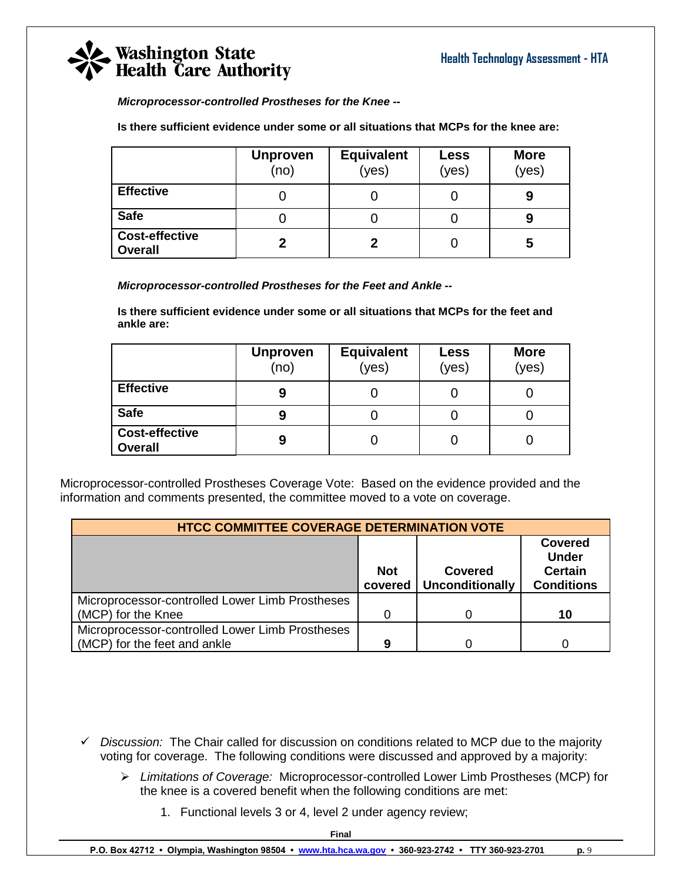*Microprocessor-controlled Prostheses for the Knee --*

**Is there sufficient evidence under some or all situations that MCPs for the knee are:**

|                                         | <b>Unproven</b><br>(no) | <b>Equivalent</b><br>(yes) | Less<br>(yes) | <b>More</b><br>(yes) |
|-----------------------------------------|-------------------------|----------------------------|---------------|----------------------|
| <b>Effective</b>                        |                         |                            |               | 9                    |
| <b>Safe</b>                             |                         |                            |               | У                    |
| <b>Cost-effective</b><br><b>Overall</b> |                         |                            |               | 5                    |

*Microprocessor-controlled Prostheses for the Feet and Ankle --*

**Is there sufficient evidence under some or all situations that MCPs for the feet and ankle are:**

|                                         | <b>Unproven</b><br>(no) | <b>Equivalent</b><br>(yes) | <b>Less</b><br>(yes) | <b>More</b><br>(yes) |
|-----------------------------------------|-------------------------|----------------------------|----------------------|----------------------|
| <b>Effective</b>                        | 9                       |                            |                      |                      |
| <b>Safe</b>                             | 9                       |                            |                      |                      |
| <b>Cost-effective</b><br><b>Overall</b> | 9                       | U                          |                      |                      |

Microprocessor-controlled Prostheses Coverage Vote: Based on the evidence provided and the information and comments presented, the committee moved to a vote on coverage.

| <b>HTCC COMMITTEE COVERAGE DETERMINATION VOTE</b>                                                                                          |   |  |    |  |  |
|--------------------------------------------------------------------------------------------------------------------------------------------|---|--|----|--|--|
| <b>Covered</b><br><b>Under</b><br><b>Certain</b><br><b>Not</b><br><b>Covered</b><br><b>Unconditionally</b><br><b>Conditions</b><br>covered |   |  |    |  |  |
| Microprocessor-controlled Lower Limb Prostheses                                                                                            |   |  |    |  |  |
| (MCP) for the Knee                                                                                                                         |   |  | 10 |  |  |
| Microprocessor-controlled Lower Limb Prostheses                                                                                            |   |  |    |  |  |
| (MCP) for the feet and ankle                                                                                                               | 9 |  |    |  |  |

- *Discussion:* The Chair called for discussion on conditions related to MCP due to the majority voting for coverage. The following conditions were discussed and approved by a majority:
	- *Limitations of Coverage:* Microprocessor-controlled Lower Limb Prostheses (MCP) for the knee is a covered benefit when the following conditions are met:
		- 1. Functional levels 3 or 4, level 2 under agency review;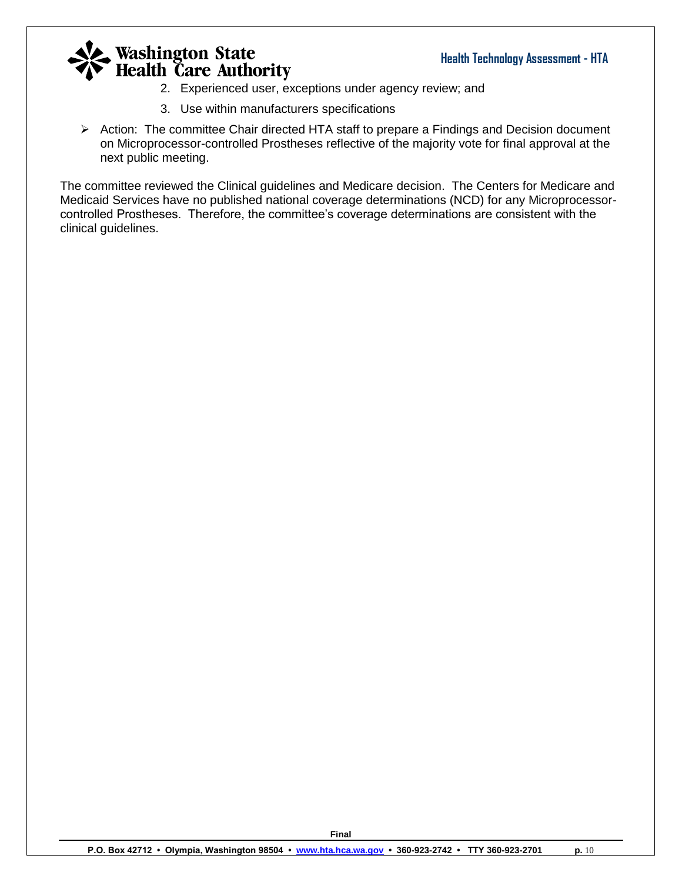- 2. Experienced user, exceptions under agency review; and
- 3. Use within manufacturers specifications
- Action: The committee Chair directed HTA staff to prepare a Findings and Decision document on Microprocessor-controlled Prostheses reflective of the majority vote for final approval at the next public meeting.

The committee reviewed the Clinical guidelines and Medicare decision. The Centers for Medicare and Medicaid Services have no published national coverage determinations (NCD) for any Microprocessorcontrolled Prostheses. Therefore, the committee's coverage determinations are consistent with the clinical guidelines.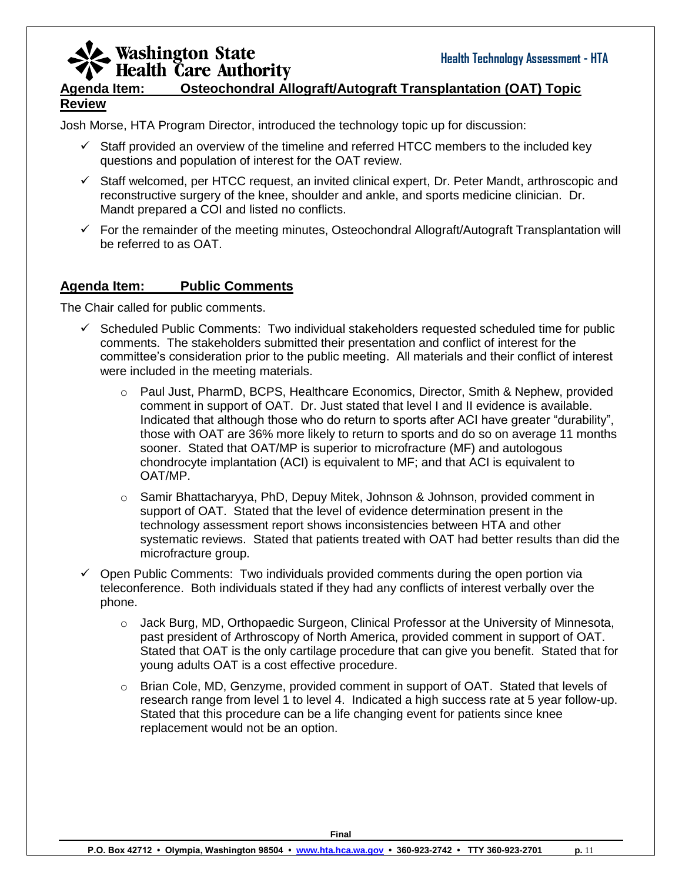### **Agenda Item: Osteochondral Allograft/Autograft Transplantation (OAT) Topic Review**

Josh Morse, HTA Program Director, introduced the technology topic up for discussion:

- $\checkmark$  Staff provided an overview of the timeline and referred HTCC members to the included key questions and population of interest for the OAT review.
- $\checkmark$  Staff welcomed, per HTCC request, an invited clinical expert, Dr. Peter Mandt, arthroscopic and reconstructive surgery of the knee, shoulder and ankle, and sports medicine clinician. Dr. Mandt prepared a COI and listed no conflicts.
- $\checkmark$  For the remainder of the meeting minutes, Osteochondral Allograft/Autograft Transplantation will be referred to as OAT.

### **Agenda Item: Public Comments**

The Chair called for public comments.

- $\checkmark$  Scheduled Public Comments: Two individual stakeholders requested scheduled time for public comments. The stakeholders submitted their presentation and conflict of interest for the committee's consideration prior to the public meeting. All materials and their conflict of interest were included in the meeting materials.
	- o Paul Just, PharmD, BCPS, Healthcare Economics, Director, Smith & Nephew, provided comment in support of OAT. Dr. Just stated that level I and II evidence is available. Indicated that although those who do return to sports after ACI have greater "durability", those with OAT are 36% more likely to return to sports and do so on average 11 months sooner. Stated that OAT/MP is superior to microfracture (MF) and autologous chondrocyte implantation (ACI) is equivalent to MF; and that ACI is equivalent to OAT/MP.
	- $\circ$  Samir Bhattacharyya, PhD, Depuy Mitek, Johnson & Johnson, provided comment in support of OAT. Stated that the level of evidence determination present in the technology assessment report shows inconsistencies between HTA and other systematic reviews. Stated that patients treated with OAT had better results than did the microfracture group.
- $\checkmark$  Open Public Comments: Two individuals provided comments during the open portion via teleconference. Both individuals stated if they had any conflicts of interest verbally over the phone.
	- $\circ$  Jack Burg, MD, Orthopaedic Surgeon, Clinical Professor at the University of Minnesota, past president of Arthroscopy of North America, provided comment in support of OAT. Stated that OAT is the only cartilage procedure that can give you benefit. Stated that for young adults OAT is a cost effective procedure.
	- o Brian Cole, MD, Genzyme, provided comment in support of OAT. Stated that levels of research range from level 1 to level 4. Indicated a high success rate at 5 year follow-up. Stated that this procedure can be a life changing event for patients since knee replacement would not be an option.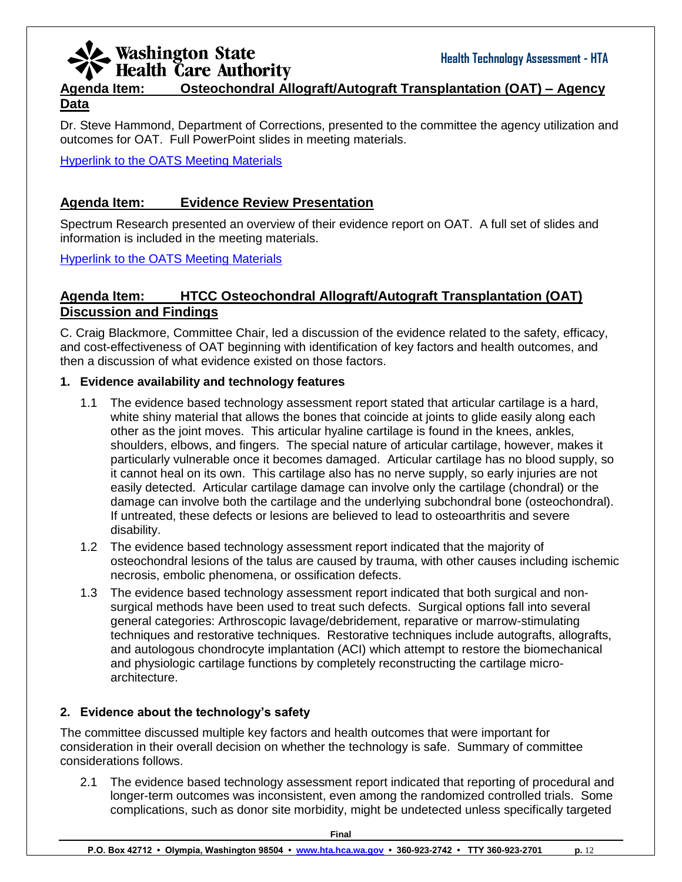### **Agenda Item: Osteochondral Allograft/Autograft Transplantation (OAT) – Agency Data**

Dr. Steve Hammond, Department of Corrections, presented to the committee the agency utilization and outcomes for OAT. Full PowerPoint slides in meeting materials.

[Hyperlink to the OATS Meeting Materials](http://www.hta.hca.wa.gov/documents/meeting_materials_oat.pdf)

### **Agenda Item: Evidence Review Presentation**

Spectrum Research presented an overview of their evidence report on OAT. A full set of slides and information is included in the meeting materials.

[Hyperlink to the OATS Meeting Materials](http://www.hta.hca.wa.gov/documents/meeting_materials_oat.pdf)

### **Agenda Item: HTCC Osteochondral Allograft/Autograft Transplantation (OAT) Discussion and Findings**

C. Craig Blackmore, Committee Chair, led a discussion of the evidence related to the safety, efficacy, and cost-effectiveness of OAT beginning with identification of key factors and health outcomes, and then a discussion of what evidence existed on those factors.

#### **1. Evidence availability and technology features**

- 1.1 The evidence based technology assessment report stated that articular cartilage is a hard, white shiny material that allows the bones that coincide at joints to glide easily along each other as the joint moves. This articular hyaline cartilage is found in the knees, ankles, shoulders, elbows, and fingers. The special nature of articular cartilage, however, makes it particularly vulnerable once it becomes damaged. Articular cartilage has no blood supply, so it cannot heal on its own. This cartilage also has no nerve supply, so early injuries are not easily detected. Articular cartilage damage can involve only the cartilage (chondral) or the damage can involve both the cartilage and the underlying subchondral bone (osteochondral). If untreated, these defects or lesions are believed to lead to osteoarthritis and severe disability.
- 1.2 The evidence based technology assessment report indicated that the majority of osteochondral lesions of the talus are caused by trauma, with other causes including ischemic necrosis, embolic phenomena, or ossification defects.
- 1.3 The evidence based technology assessment report indicated that both surgical and nonsurgical methods have been used to treat such defects. Surgical options fall into several general categories: Arthroscopic lavage/debridement, reparative or marrow-stimulating techniques and restorative techniques. Restorative techniques include autografts, allografts, and autologous chondrocyte implantation (ACI) which attempt to restore the biomechanical and physiologic cartilage functions by completely reconstructing the cartilage microarchitecture.

#### **2. Evidence about the technology's safety**

The committee discussed multiple key factors and health outcomes that were important for consideration in their overall decision on whether the technology is safe. Summary of committee considerations follows.

2.1 The evidence based technology assessment report indicated that reporting of procedural and longer-term outcomes was inconsistent, even among the randomized controlled trials. Some complications, such as donor site morbidity, might be undetected unless specifically targeted

**Final**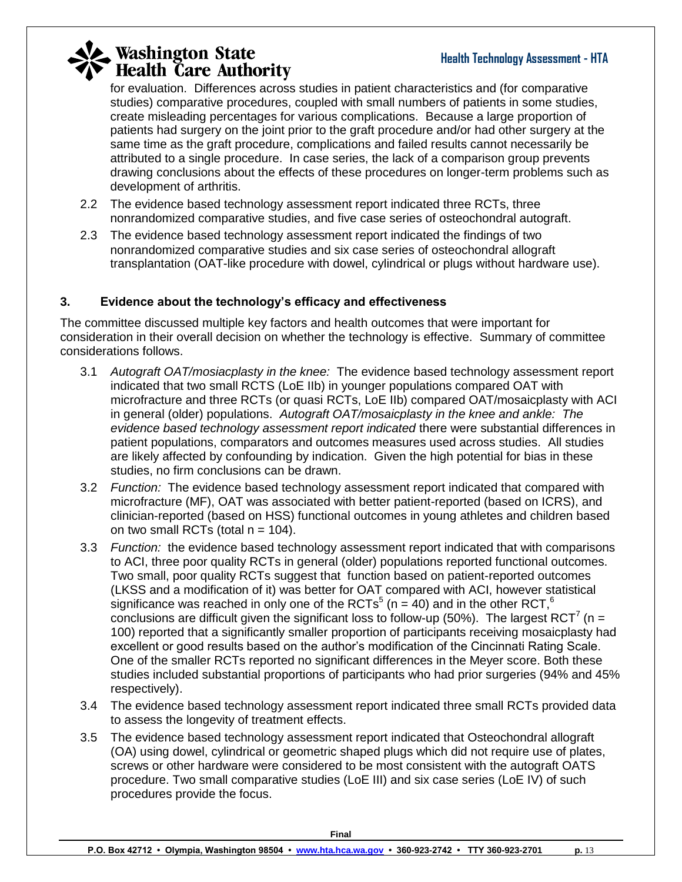### **Health Technology Assessment - HTA**

# **Washington State**<br>**Health Care Authority**

for evaluation. Differences across studies in patient characteristics and (for comparative studies) comparative procedures, coupled with small numbers of patients in some studies, create misleading percentages for various complications. Because a large proportion of patients had surgery on the joint prior to the graft procedure and/or had other surgery at the same time as the graft procedure, complications and failed results cannot necessarily be attributed to a single procedure. In case series, the lack of a comparison group prevents drawing conclusions about the effects of these procedures on longer-term problems such as development of arthritis.

- 2.2 The evidence based technology assessment report indicated three RCTs, three nonrandomized comparative studies, and five case series of osteochondral autograft.
- 2.3 The evidence based technology assessment report indicated the findings of two nonrandomized comparative studies and six case series of osteochondral allograft transplantation (OAT-like procedure with dowel, cylindrical or plugs without hardware use).

### **3. Evidence about the technology's efficacy and effectiveness**

The committee discussed multiple key factors and health outcomes that were important for consideration in their overall decision on whether the technology is effective. Summary of committee considerations follows.

- 3.1 *Autograft OAT/mosiacplasty in the knee:* The evidence based technology assessment report indicated that two small RCTS (LoE IIb) in younger populations compared OAT with microfracture and three RCTs (or quasi RCTs, LoE IIb) compared OAT/mosaicplasty with ACI in general (older) populations. *Autograft OAT/mosaicplasty in the knee and ankle: The evidence based technology assessment report indicated* there were substantial differences in patient populations, comparators and outcomes measures used across studies. All studies are likely affected by confounding by indication. Given the high potential for bias in these studies, no firm conclusions can be drawn.
- 3.2 *Function:* The evidence based technology assessment report indicated that compared with microfracture (MF), OAT was associated with better patient-reported (based on ICRS), and clinician-reported (based on HSS) functional outcomes in young athletes and children based on two small RCTs (total  $n = 104$ ).
- 3.3 *Function:* the evidence based technology assessment report indicated that with comparisons to ACI, three poor quality RCTs in general (older) populations reported functional outcomes. Two small, poor quality RCTs suggest that function based on patient-reported outcomes (LKSS and a modification of it) was better for OAT compared with ACI, however statistical significance was reached in only one of the RCTs<sup>5</sup> (n = 40) and in the other RCT,<sup>6</sup> conclusions are difficult given the significant loss to follow-up (50%). The largest RCT<sup>7</sup> (n = 100) reported that a significantly smaller proportion of participants receiving mosaicplasty had excellent or good results based on the author's modification of the Cincinnati Rating Scale. One of the smaller RCTs reported no significant differences in the Meyer score. Both these studies included substantial proportions of participants who had prior surgeries (94% and 45% respectively).
- 3.4 The evidence based technology assessment report indicated three small RCTs provided data to assess the longevity of treatment effects.
- 3.5 The evidence based technology assessment report indicated that Osteochondral allograft (OA) using dowel, cylindrical or geometric shaped plugs which did not require use of plates, screws or other hardware were considered to be most consistent with the autograft OATS procedure. Two small comparative studies (LoE III) and six case series (LoE IV) of such procedures provide the focus.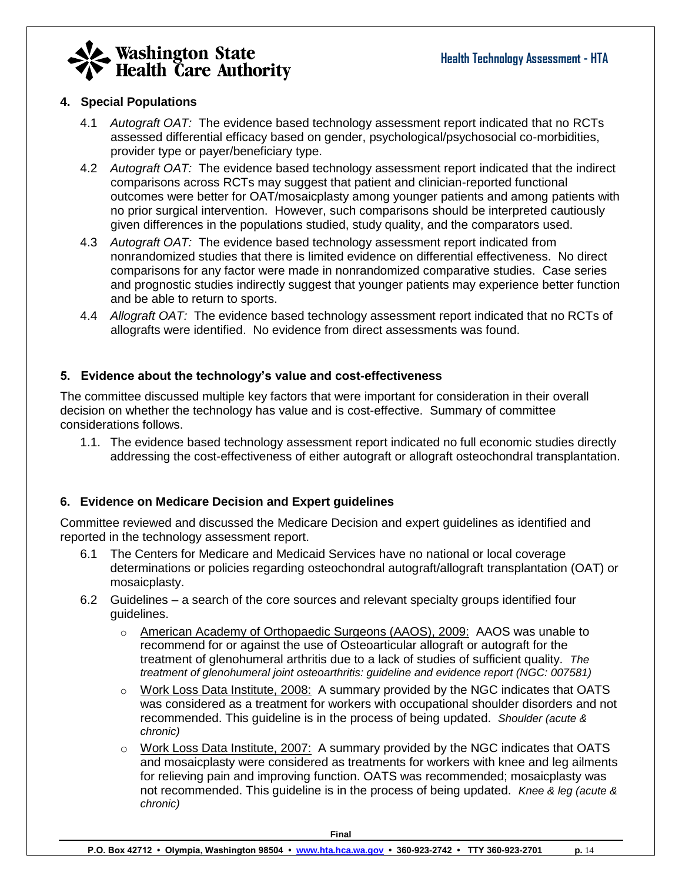

### **4. Special Populations**

- 4.1 *Autograft OAT:* The evidence based technology assessment report indicated that no RCTs assessed differential efficacy based on gender, psychological/psychosocial co-morbidities, provider type or payer/beneficiary type.
- 4.2 *Autograft OAT:* The evidence based technology assessment report indicated that the indirect comparisons across RCTs may suggest that patient and clinician-reported functional outcomes were better for OAT/mosaicplasty among younger patients and among patients with no prior surgical intervention. However, such comparisons should be interpreted cautiously given differences in the populations studied, study quality, and the comparators used.
- 4.3 *Autograft OAT:* The evidence based technology assessment report indicated from nonrandomized studies that there is limited evidence on differential effectiveness. No direct comparisons for any factor were made in nonrandomized comparative studies. Case series and prognostic studies indirectly suggest that younger patients may experience better function and be able to return to sports.
- 4.4 *Allograft OAT:* The evidence based technology assessment report indicated that no RCTs of allografts were identified. No evidence from direct assessments was found.

### **5. Evidence about the technology's value and cost-effectiveness**

The committee discussed multiple key factors that were important for consideration in their overall decision on whether the technology has value and is cost-effective. Summary of committee considerations follows.

1.1. The evidence based technology assessment report indicated no full economic studies directly addressing the cost-effectiveness of either autograft or allograft osteochondral transplantation.

#### **6. Evidence on Medicare Decision and Expert guidelines**

Committee reviewed and discussed the Medicare Decision and expert guidelines as identified and reported in the technology assessment report.

- 6.1 The Centers for Medicare and Medicaid Services have no national or local coverage determinations or policies regarding osteochondral autograft/allograft transplantation (OAT) or mosaicplasty.
- 6.2 Guidelines a search of the core sources and relevant specialty groups identified four guidelines.
	- o American Academy of Orthopaedic Surgeons (AAOS), 2009: AAOS was unable to recommend for or against the use of Osteoarticular allograft or autograft for the treatment of glenohumeral arthritis due to a lack of studies of sufficient quality. *The treatment of glenohumeral joint osteoarthritis: guideline and evidence report (NGC: 007581)*
	- $\circ$  Work Loss Data Institute, 2008: A summary provided by the NGC indicates that OATS was considered as a treatment for workers with occupational shoulder disorders and not recommended. This guideline is in the process of being updated. *Shoulder (acute & chronic)*
	- $\circ$  Work Loss Data Institute, 2007: A summary provided by the NGC indicates that OATS and mosaicplasty were considered as treatments for workers with knee and leg ailments for relieving pain and improving function. OATS was recommended; mosaicplasty was not recommended. This guideline is in the process of being updated. *Knee & leg (acute & chronic)*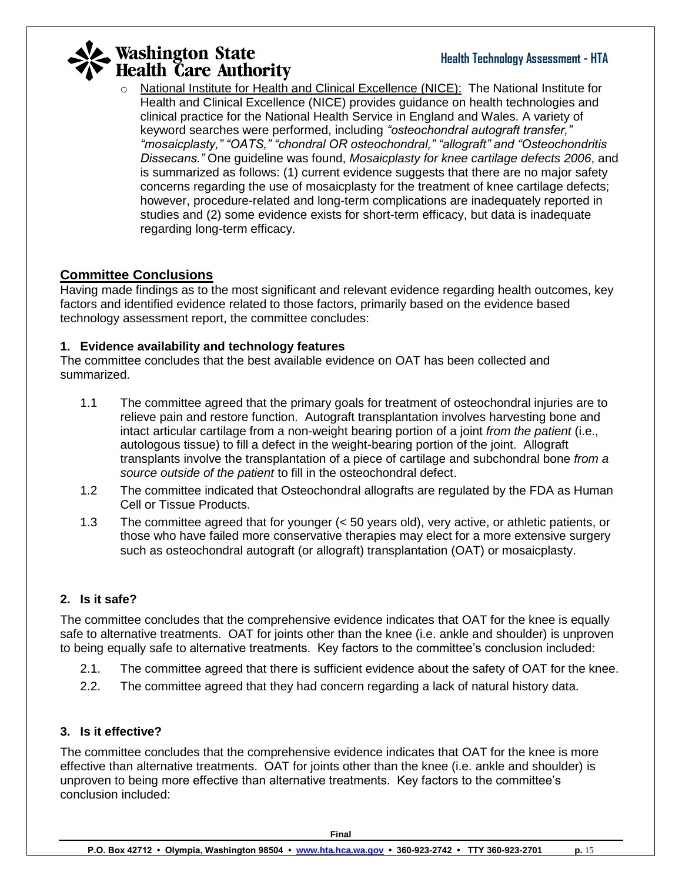National Institute for Health and Clinical Excellence (NICE): The National Institute for Health and Clinical Excellence (NICE) provides guidance on health technologies and clinical practice for the National Health Service in England and Wales. A variety of keyword searches were performed, including *"osteochondral autograft transfer," "mosaicplasty," "OATS," "chondral OR osteochondral," "allograft" and "Osteochondritis Dissecans."* One guideline was found, *Mosaicplasty for knee cartilage defects 2006*, and is summarized as follows: (1) current evidence suggests that there are no major safety concerns regarding the use of mosaicplasty for the treatment of knee cartilage defects; however, procedure-related and long-term complications are inadequately reported in studies and (2) some evidence exists for short-term efficacy, but data is inadequate regarding long-term efficacy.

### **Committee Conclusions**

Having made findings as to the most significant and relevant evidence regarding health outcomes, key factors and identified evidence related to those factors, primarily based on the evidence based technology assessment report, the committee concludes:

### **1. Evidence availability and technology features**

The committee concludes that the best available evidence on OAT has been collected and summarized.

- 1.1 The committee agreed that the primary goals for treatment of osteochondral injuries are to relieve pain and restore function. Autograft transplantation involves harvesting bone and intact articular cartilage from a non-weight bearing portion of a joint *from the patient* (i.e., autologous tissue) to fill a defect in the weight-bearing portion of the joint. Allograft transplants involve the transplantation of a piece of cartilage and subchondral bone *from a source outside of the patient* to fill in the osteochondral defect.
- 1.2 The committee indicated that Osteochondral allografts are regulated by the FDA as Human Cell or Tissue Products.
- 1.3 The committee agreed that for younger (< 50 years old), very active, or athletic patients, or those who have failed more conservative therapies may elect for a more extensive surgery such as osteochondral autograft (or allograft) transplantation (OAT) or mosaicplasty.

### **2. Is it safe?**

The committee concludes that the comprehensive evidence indicates that OAT for the knee is equally safe to alternative treatments. OAT for joints other than the knee (i.e. ankle and shoulder) is unproven to being equally safe to alternative treatments. Key factors to the committee's conclusion included:

- 2.1. The committee agreed that there is sufficient evidence about the safety of OAT for the knee.
- 2.2. The committee agreed that they had concern regarding a lack of natural history data.

### **3. Is it effective?**

The committee concludes that the comprehensive evidence indicates that OAT for the knee is more effective than alternative treatments. OAT for joints other than the knee (i.e. ankle and shoulder) is unproven to being more effective than alternative treatments. Key factors to the committee's conclusion included: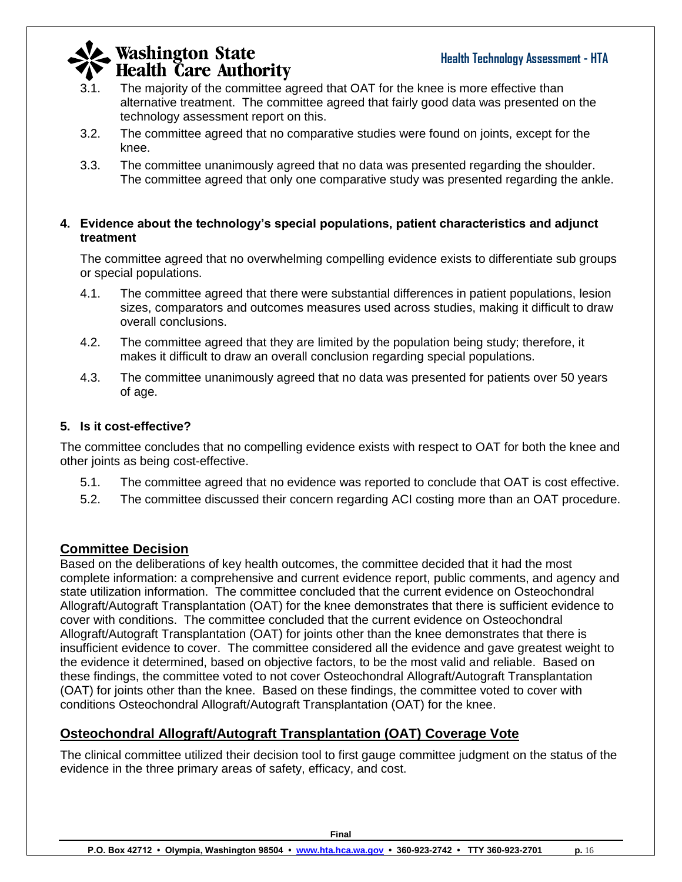- 3.1. The majority of the committee agreed that OAT for the knee is more effective than alternative treatment. The committee agreed that fairly good data was presented on the technology assessment report on this.
- 3.2. The committee agreed that no comparative studies were found on joints, except for the knee.
- 3.3. The committee unanimously agreed that no data was presented regarding the shoulder. The committee agreed that only one comparative study was presented regarding the ankle.

### **4. Evidence about the technology's special populations, patient characteristics and adjunct treatment**

The committee agreed that no overwhelming compelling evidence exists to differentiate sub groups or special populations.

- 4.1. The committee agreed that there were substantial differences in patient populations, lesion sizes, comparators and outcomes measures used across studies, making it difficult to draw overall conclusions.
- 4.2. The committee agreed that they are limited by the population being study; therefore, it makes it difficult to draw an overall conclusion regarding special populations.
- 4.3. The committee unanimously agreed that no data was presented for patients over 50 years of age.

### **5. Is it cost-effective?**

The committee concludes that no compelling evidence exists with respect to OAT for both the knee and other joints as being cost-effective.

- 5.1. The committee agreed that no evidence was reported to conclude that OAT is cost effective.
- 5.2. The committee discussed their concern regarding ACI costing more than an OAT procedure.

### **Committee Decision**

Based on the deliberations of key health outcomes, the committee decided that it had the most complete information: a comprehensive and current evidence report, public comments, and agency and state utilization information. The committee concluded that the current evidence on Osteochondral Allograft/Autograft Transplantation (OAT) for the knee demonstrates that there is sufficient evidence to cover with conditions. The committee concluded that the current evidence on Osteochondral Allograft/Autograft Transplantation (OAT) for joints other than the knee demonstrates that there is insufficient evidence to cover. The committee considered all the evidence and gave greatest weight to the evidence it determined, based on objective factors, to be the most valid and reliable. Based on these findings, the committee voted to not cover Osteochondral Allograft/Autograft Transplantation (OAT) for joints other than the knee. Based on these findings, the committee voted to cover with conditions Osteochondral Allograft/Autograft Transplantation (OAT) for the knee.

### **Osteochondral Allograft/Autograft Transplantation (OAT) Coverage Vote**

The clinical committee utilized their decision tool to first gauge committee judgment on the status of the evidence in the three primary areas of safety, efficacy, and cost.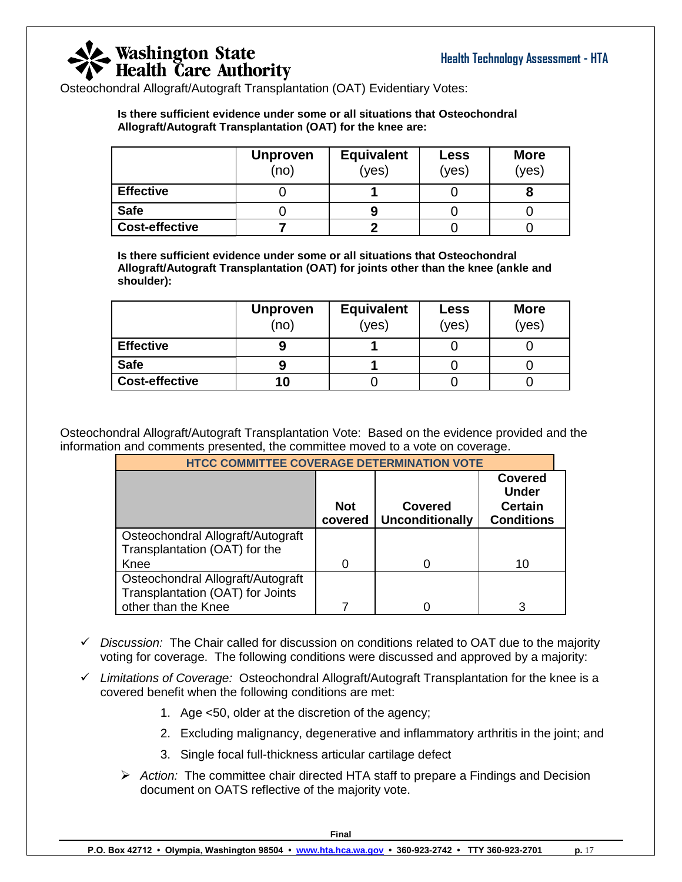Osteochondral Allograft/Autograft Transplantation (OAT) Evidentiary Votes:

**Is there sufficient evidence under some or all situations that Osteochondral Allograft/Autograft Transplantation (OAT) for the knee are:**

|                       | <b>Unproven</b><br>(no) | <b>Equivalent</b><br>(yes) | Less<br>(yes) | <b>More</b><br>(yes) |
|-----------------------|-------------------------|----------------------------|---------------|----------------------|
| <b>Effective</b>      |                         |                            |               |                      |
| <b>Safe</b>           |                         |                            |               |                      |
| <b>Cost-effective</b> |                         |                            |               |                      |

**Is there sufficient evidence under some or all situations that Osteochondral Allograft/Autograft Transplantation (OAT) for joints other than the knee (ankle and shoulder):**

|                       | <b>Unproven</b><br>(no | <b>Equivalent</b><br><b>Less</b><br>(yes)<br>(yes) |  | <b>More</b><br>(yes) |
|-----------------------|------------------------|----------------------------------------------------|--|----------------------|
| <b>Effective</b>      |                        |                                                    |  |                      |
| <b>Safe</b>           |                        |                                                    |  |                      |
| <b>Cost-effective</b> | 10                     |                                                    |  |                      |

Osteochondral Allograft/Autograft Transplantation Vote: Based on the evidence provided and the information and comments presented, the committee moved to a vote on coverage.

| <b>HTCC COMMITTEE COVERAGE DETERMINATION VOTE</b>                     |                       |                                          |                                                                       |  |  |
|-----------------------------------------------------------------------|-----------------------|------------------------------------------|-----------------------------------------------------------------------|--|--|
|                                                                       | <b>Not</b><br>covered | <b>Covered</b><br><b>Unconditionally</b> | <b>Covered</b><br><b>Under</b><br><b>Certain</b><br><b>Conditions</b> |  |  |
| Osteochondral Allograft/Autograft<br>Transplantation (OAT) for the    |                       |                                          |                                                                       |  |  |
| Knee                                                                  |                       |                                          | 10                                                                    |  |  |
| Osteochondral Allograft/Autograft<br>Transplantation (OAT) for Joints |                       |                                          |                                                                       |  |  |
| other than the Knee                                                   |                       |                                          | 3                                                                     |  |  |

- *Discussion:* The Chair called for discussion on conditions related to OAT due to the majority voting for coverage. The following conditions were discussed and approved by a majority:
- *Limitations of Coverage:* Osteochondral Allograft/Autograft Transplantation for the knee is a covered benefit when the following conditions are met:
	- 1. Age <50, older at the discretion of the agency;
	- 2. Excluding malignancy, degenerative and inflammatory arthritis in the joint; and
	- 3. Single focal full-thickness articular cartilage defect
	- *Action:* The committee chair directed HTA staff to prepare a Findings and Decision document on OATS reflective of the majority vote.